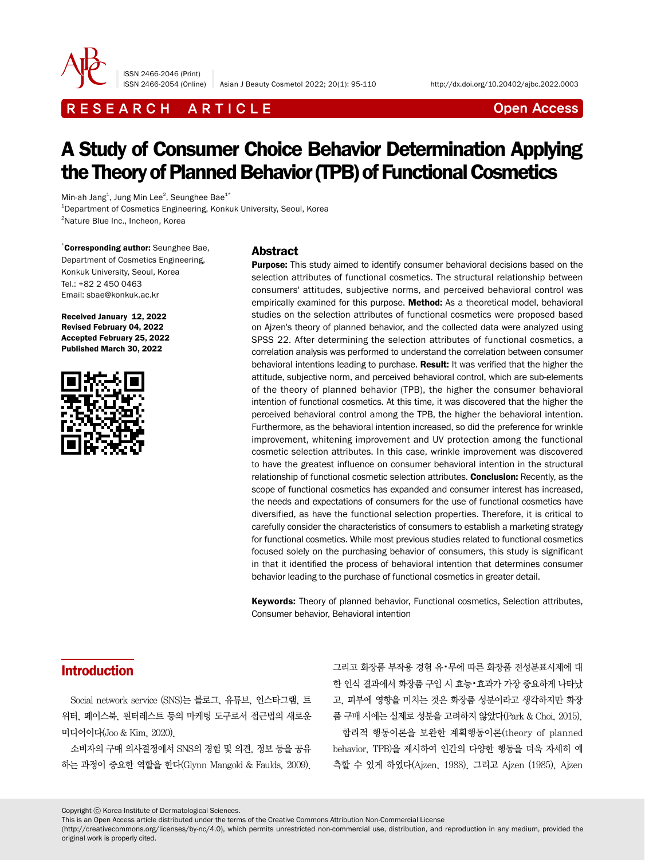

ISSN 2466-2046 (Print)

ISSN 2466-2054 (Online) Asian J Beauty Cosmetol 2022; 20(1): 95-110 http://dx.doi.org/10.20402/ajbc.2022.0003

# R E S E A R C H A R T I C L E CHE COME CONTROLLER CONTROLLER CONTROLLER CONTROLLER CONTROLLER CONTROLLER CONTROLLER CONTROLLER CONTROLLER CONTROLLER CONTROLLER CONTROLLER CONTROLLER CONTROLLER CONTROLLER CONTROLLER CONTROL

# A Study of Consumer Choice Behavior Determination Applying the Theory of Planned Behavior (TPB) of Functional Cosmetics

Min-ah Jang $^{\rm 1}$ , Jung Min Lee $^{\rm 2}$ , Seunghee Bae $^{\rm 1*}$ 1 Department of Cosmetics Engineering, Konkuk University, Seoul, Korea 2 Nature Blue Inc., Incheon, Korea

\* Corresponding author: Seunghee Bae, Department of Cosmetics Engineering, Konkuk University, Seoul, Korea Tel.: +82 2 450 0463 Email: sbae@konkuk.ac.kr

Received January 12, 2022 Revised February 04, 2022 Accepted February 25, 2022 Published March 30, 2022



#### Abstract

**Purpose:** This study aimed to identify consumer behavioral decisions based on the selection attributes of functional cosmetics. The structural relationship between consumers' attitudes, subjective norms, and perceived behavioral control was empirically examined for this purpose. Method: As a theoretical model, behavioral studies on the selection attributes of functional cosmetics were proposed based on Ajzen's theory of planned behavior, and the collected data were analyzed using SPSS 22. After determining the selection attributes of functional cosmetics, a correlation analysis was performed to understand the correlation between consumer behavioral intentions leading to purchase. Result: It was verified that the higher the attitude, subjective norm, and perceived behavioral control, which are sub-elements of the theory of planned behavior (TPB), the higher the consumer behavioral intention of functional cosmetics. At this time, it was discovered that the higher the perceived behavioral control among the TPB, the higher the behavioral intention. Furthermore, as the behavioral intention increased, so did the preference for wrinkle improvement, whitening improvement and UV protection among the functional cosmetic selection attributes. In this case, wrinkle improvement was discovered to have the greatest influence on consumer behavioral intention in the structural relationship of functional cosmetic selection attributes. Conclusion: Recently, as the scope of functional cosmetics has expanded and consumer interest has increased, the needs and expectations of consumers for the use of functional cosmetics have diversified, as have the functional selection properties. Therefore, it is critical to carefully consider the characteristics of consumers to establish a marketing strategy for functional cosmetics. While most previous studies related to functional cosmetics focused solely on the purchasing behavior of consumers, this study is significant in that it identified the process of behavioral intention that determines consumer behavior leading to the purchase of functional cosmetics in greater detail.

Keywords: Theory of planned behavior, Functional cosmetics, Selection attributes, Consumer behavior, Behavioral intention

### Introduction

Social network service (SNS)는 블로그, 유튜브, 인스타그램, 트 위터, 페이스북, 핀터레스트 등의 마케팅 도구로서 접근법의 새로운 미디어이다(Joo & Kim, 2020).

소비자의 구매 의사결정에서 SNS의 경험 및 의견, 정보 등을 공유 하는 과정이 중요한 역할을 한다(Glynn Mangold & Faulds, 2009).

그리고 화장품 부작용 경험 유•무에 따른 화장품 전성분표시제에 대 한 인식 결과에서 화장품 구입 시 효능•효과가 가장 중요하게 나타났 고, 피부에 영향을 미치는 것은 화장품 성분이라고 생각하지만 화장 품 구매 시에는 실제로 성분을 고려하지 않았다(Park & Choi, 2015).

합리적 행동이론을 보완한 계획행동이론(theory of planned behavior, TPB)을 제시하여 인간의 다양한 행동을 더욱 자세히 예 측할 수 있게 하였다(Ajzen, 1988). 그리고 Ajzen (1985), Ajzen

Copyright ⓒ Korea Institute of Dermatological Sciences.

This is an Open Access article distributed under the terms of the Creative Commons Attribution Non-Commercial License

(http://creativecommons.org/licenses/by-nc/4.0), which permits unrestricted non-commercial use, distribution, and reproduction in any medium, provided the original work is properly cited.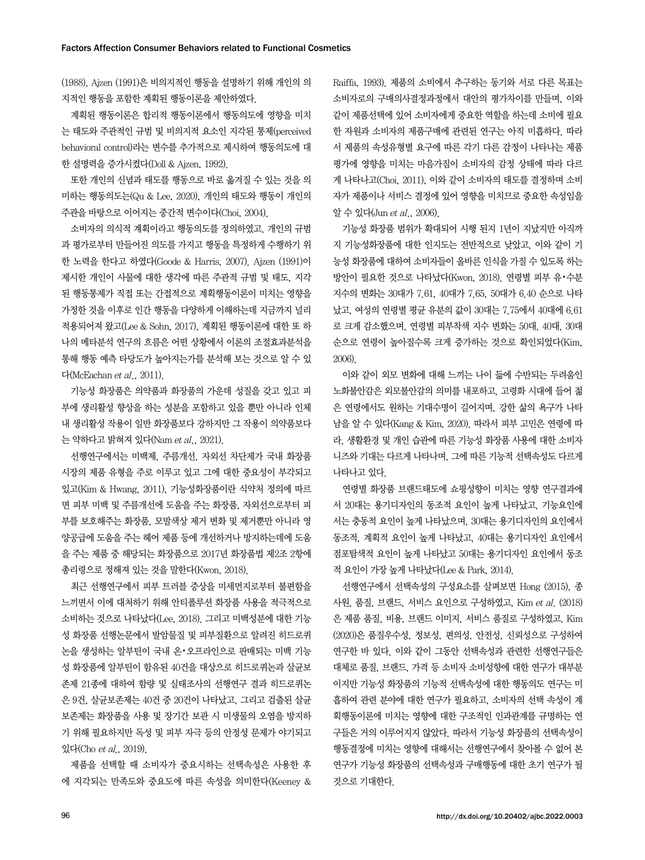(1988), Ajzen (1991)은 비의지적인 행동을 설명하기 위해 개인의 의 지적인 행동을 포함한 계획된 행동이론을 제안하였다.

계획된 행동이론은 합리적 행동이론에서 행동의도에 영향을 미치 는 태도와 주관적인 규범 및 비의지적 요소인 지각된 통제(perceived behavioral control)라는 변수를 추가적으로 제시하여 행동의도에 대 한 설명력을 증가시켰다(Doll & Ajzen, 1992).

또한 개인의 신념과 태도를 행동으로 바로 옮겨질 수 있는 것을 의 미하는 행동의도는(Qu & Lee, 2020), 개인의 태도와 행동이 개인의 주관을 바탕으로 이어지는 중간적 변수이다(Choi, 2004).

소비자의 의식적 계획이라고 행동의도를 정의하였고, 개인의 규범 과 평가로부터 만들어진 의도를 가지고 행동을 특정하게 수행하기 위 한 노력을 한다고 하였다(Goode & Harris, 2007). Ajzen (1991)이 제시한 개인이 사물에 대한 생각에 따른 주관적 규범 및 태도, 지각 된 행동통제가 직접 또는 간접적으로 계획행동이론이 미치는 영향을 가정한 것을 이후로 인간 행동을 다양하게 이해하는데 지금까지 널리 적용되어져 왔고(Lee & Sohn, 2017), 계획된 행동이론에 대한 또 하 나의 메타분석 연구의 흐름은 어떤 상황에서 이론의 조절효과분석을 통해 행동 예측 타당도가 높아지는가를 분석해 보는 것으로 알 수 있 다(McEachan et al., 2011).

기능성 화장품은 의약품과 화장품의 가운데 성질을 갖고 있고 피 부에 생리활성 향상을 하는 성분을 포함하고 있을 뿐만 아니라 인체 내 생리활성 작용이 일반 화장품보다 강하지만 그 작용이 의약품보다 는 약하다고 밝혀져 있다(Nam et al., 2021).

선행연구에서는 미백제, 주름개선, 자외선 차단제가 국내 화장품 시장의 제품 유형을 주로 이루고 있고 그에 대한 중요성이 부각되고 있고(Kim & Hwang, 2011), 기능성화장품이란 식약처 정의에 따르 면 피부 미백 및 주름개선에 도움을 주는 화장품, 자외선으로부터 피 부를 보호해주는 화장품, 모발색상 제거 변화 및 제거뿐만 아니라 영 양공급에 도움을 주는 헤어 제품 등에 개선하거나 방지하는데에 도움 을 주는 제품 중 해당되는 화장품으로 2017년 화장품법 제2조 2항에 총리령으로 정해져 있는 것을 말한다(Kwon, 2018).

최근 선행연구에서 피부 트러블 증상을 미세먼지로부터 불편함을 느끼면서 이에 대처하기 위해 안티폴루션 화장품 사용을 적극적으로 소비하는 것으로 나타났다(Lee, 2018). 그리고 미백성분에 대한 기능 성 화장품 선행논문에서 발암물질 및 피부질환으로 알려진 히드로퀴 논을 생성하는 알부틴이 국내 온•오프라인으로 판매되는 미백 기능 성 화장품에 알부틴이 함유된 40건을 대상으로 히드로퀴논과 살균보 존제 21종에 대하여 함량 및 실태조사의 선행연구 결과 히드로퀴논 은 9건, 살균보존제는 40건 중 20건이 나타났고, 그리고 검출된 살균 보존제는 화장품을 사용 및 장기간 보관 시 미생물의 오염을 방지하 기 위해 필요하지만 독성 및 피부 자극 등의 안정성 문제가 야기되고 있다(Cho et al., 2019).

제품을 선택할 때 소비자가 중요시하는 선택속성은 사용한 후 에 지각되는 만족도와 중요도에 따른 속성을 의미한다(Keeney & Raiffa, 1993). 제품의 소비에서 추구하는 동기와 서로 다른 목표는 소비자로의 구매의사결정과정에서 대안의 평가차이를 만들며, 이와 같이 제품선택에 있어 소비자에게 중요한 역할을 하는데 소비에 필요 한 자원과 소비자의 제품구매에 관련된 연구는 아직 미흡하다. 따라 서 제품의 속성유형별 요구에 따른 각기 다른 감정이 나타나는 제품 평가에 영향을 미치는 마음가짐이 소비자의 감정 상태에 따라 다르 게 나타나고(Choi, 2011), 이와 같이 소비자의 태도를 결정하며 소비 자가 제품이나 서비스 결정에 있어 영향을 미치므로 중요한 속성임을 알 수 있다(Jun et al., 2006).

기능성 화장품 범위가 확대되어 시행 된지 1년이 지났지만 아직까 지 기능성화장품에 대한 인지도는 전반적으로 낮았고, 이와 같이 기 능성 화장품에 대하여 소비자들이 올바른 인식을 가질 수 있도록 하는 방안이 필요한 것으로 나타났다(Kwon, 2018). 연령별 피부 유•수분 지수의 변화는 30대가 7.61, 40대가 7.65, 50대가 6.40 순으로 나타 났고, 여성의 연령별 평균 유분의 값이 30대는 7.75에서 40대에 6.61 로 크게 감소했으며, 연령별 피부착색 지수 변화는 50대, 40대, 30대 순으로 연령이 높아질수록 크게 증가하는 것으로 확인되었다(Kim, 2006).

이와 같이 외모 변화에 대해 느끼는 나이 듦에 수반되는 두려움인 노화불안감은 외모불안감의 의미를 내포하고, 고령화 시대에 들어 젊 은 연령에서도 원하는 기대수명이 길어지며, 강한 삶의 욕구가 나타 남을 알 수 있다(Kang & Kim, 2020). 따라서 피부 고민은 연령에 따 라, 생활환경 및 개인 습관에 따른 기능성 화장품 사용에 대한 소비자 니즈와 기대는 다르게 나타나며, 그에 따른 기능적 선택속성도 다르게 나타나고 있다.

연령별 화장품 브랜드태도에 쇼핑성향이 미치는 영향 연구결과에 서 20대는 용기디자인의 동조적 요인이 높게 나타났고, 기능요인에 서는 충동적 요인이 높게 나타났으며, 30대는 용기디자인의 요인에서 동조적, 계획적 요인이 높게 나타났고, 40대는 용기디자인 요인에서 점포탐색적 요인이 높게 나타났고 50대는 용기디자인 요인에서 동조 적 요인이 가장 높게 나타났다(Lee & Park, 2014).

선행연구에서 선택속성의 구성요소를 살펴보면 Hong (2015), 종 사원, 품질, 브랜드, 서비스 요인으로 구성하였고, Kim et al. (2018) 은 제품 품질, 비용, 브랜드 이미지, 서비스 품질로 구성하였고, Kim (2020)은 품질우수성, 정보성, 편의성, 안전성, 신뢰성으로 구성하여 연구한 바 있다. 이와 같이 그동안 선택속성과 관련한 선행연구들은 대체로 품질, 브랜드, 가격 등 소비자 소비성향에 대한 연구가 대부분 이지만 기능성 화장품의 기능적 선택속성에 대한 행동의도 연구는 미 흡하여 관련 분야에 대한 연구가 필요하고, 소비자의 선택 속성이 계 획행동이론에 미치는 영향에 대한 구조적인 인과관계를 규명하는 연 구들은 거의 이루어지지 않았다. 따라서 기능성 화장품의 선택속성이 행동결정에 미치는 영향에 대해서는 선행연구에서 찾아볼 수 없어 본 연구가 기능성 화장품의 선택속성과 구매행동에 대한 초기 연구가 될 것으로 기대한다.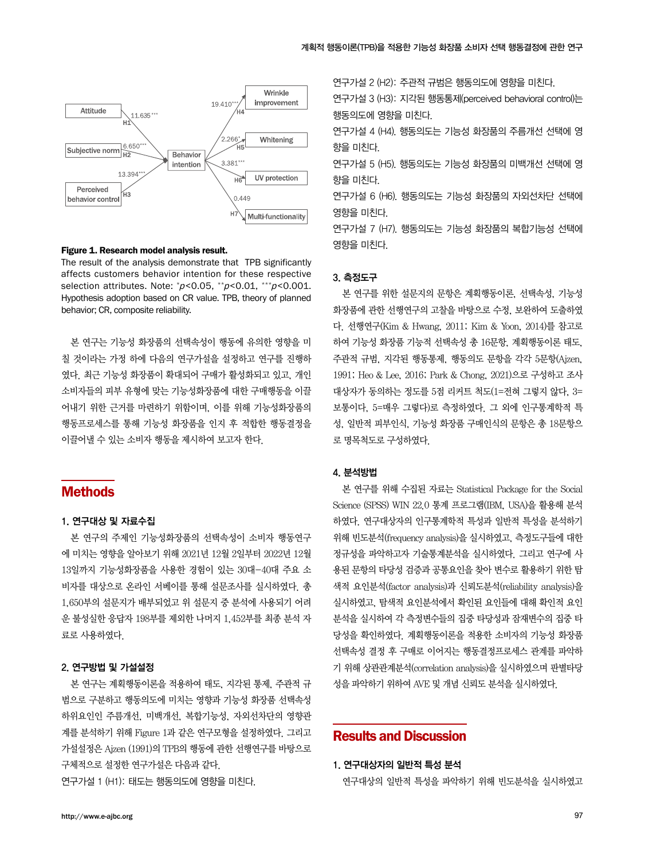

Figure 1. Research model analysis result.

The result of the analysis demonstrate that TPB significantly affects customers behavior intention for these respective selection attributes. Note:  $p$ <0.05,  $\binom{p}{q}$ <0.01,  $\binom{**}{q}$ <0.001. Hypothesis adoption based on CR value. TPB, theory of planned behavior; CR, composite reliability.

본 연구는 기능성 화장품의 선택속성이 행동에 유의한 영향을 미 칠 것이라는 가정 하에 다음의 연구가설을 설정하고 연구를 진행하 였다. 최근 기능성 화장품이 확대되어 구매가 활성화되고 있고, 개인 소비자들의 피부 유형에 맞는 기능성화장품에 대한 구매행동을 이끌 어내기 위한 근거를 마련하기 위함이며, 이를 위해 기능성화장품의 행동프로세스를 통해 기능성 화장품을 인지 후 적합한 행동결정을 이끌어낼 수 있는 소비자 행동을 제시하여 보고자 한다.

### Methods

#### 1. 연구대상 및 자료수집

본 연구의 주제인 기능성화장품의 선택속성이 소비자 행동연구 에 미치는 영향을 알아보기 위해 2021년 12월 2일부터 2022년 12월 13일까지 기능성화장품을 사용한 경험이 있는 30대-40대 주요 소 비자를 대상으로 온라인 서베이를 통해 설문조사를 실시하였다. 총 1,650부의 설문지가 배부되었고 위 설문지 중 분석에 사용되기 어려 운 불성실한 응답자 198부를 제외한 나머지 1,452부를 최종 분석 자 료로 사용하였다.

#### 2. 연구방법 및 가설설정

본 연구는 계획행동이론을 적용하여 태도, 지각된 통제, 주관적 규 범으로 구분하고 행동의도에 미치는 영향과 기능성 화장품 선택속성 하위요인인 주름개선, 미백개선, 복합기능성, 자외선차단의 영향관 계를 분석하기 위해 Figure 1과 같은 연구모형을 설정하였다. 그리고 가설설정은 Ajzen (1991)의 TPB의 행동에 관한 선행연구를 바탕으로 구체적으로 설정한 연구가설은 다음과 같다.

연구가설 1 (H1): 태도는 행동의도에 영향을 미친다.

연구가설 2 (H2): 주관적 규범은 행동의도에 영향을 미친다.

연구가설 3 (H3): 지각된 행동통제(perceived behavioral control)는 행동의도에 영향을 미친다.

연구가설 4 (H4). 행동의도는 기능성 화장품의 주름개선 선택에 영 향을 미친다.

연구가설 5 (H5). 행동의도는 기능성 화장품의 미백개선 선택에 영 향을 미친다.

연구가설 6 (H6). 행동의도는 기능성 화장품의 자외선차단 선택에 영향을 미친다.

연구가설 7 (H7). 행동의도는 기능성 화장품의 복합기능성 선택에 영향을 미친다.

#### 3. 측정도구

본 연구를 위한 설문지의 문항은 계획행동이론, 선택속성, 기능성 화장품에 관한 선행연구의 고찰을 바탕으로 수정, 보완하여 도출하였 다. 선행연구(Kim & Hwang, 2011; Kim & Yoon, 2014)를 참고로 하여 기능성 화장품 기능적 선택속성 총 16문항, 계획행동이론 태도, 주관적 규범, 지각된 행동통제, 행동의도 문항을 각각 5문항(Ajzen, 1991; Heo & Lee, 2016; Park & Chong, 2021)으로 구성하고 조사 대상자가 동의하는 정도를 5점 리커트 척도(1=전혀 그렇지 않다, 3= 보통이다, 5=매우 그렇다)로 측정하였다. 그 외에 인구통계학적 특 성, 일반적 피부인식, 기능성 화장품 구매인식의 문항은 총 18문항으 로 명목척도로 구성하였다.

#### 4. 분석방법

본 연구를 위해 수집된 자료는 Statistical Package for the Social Science (SPSS) WIN 22.0 통계 프로그램(IBM, USA)을 활용해 분석 하였다. 연구대상자의 인구통계학적 특성과 일반적 특성을 분석하기 위해 빈도분석(frequency analysis)을 실시하였고, 측정도구들에 대한 정규성을 파악하고자 기술통계분석을 실시하였다. 그리고 연구에 사 용된 문항의 타당성 검증과 공통요인을 찾아 변수로 활용하기 위한 탐 색적 요인분석(factor analysis)과 신뢰도분석(reliability analysis)을 실시하였고, 탐색적 요인분석에서 확인된 요인들에 대해 확인적 요인 분석을 실시하여 각 측정변수들의 집중 타당성과 잠재변수의 집중 타 당성을 확인하였다. 계획행동이론을 적용한 소비자의 기능성 화장품 선택속성 결정 후 구매로 이어지는 행동결정프로세스 관계를 파악하 기 위해 상관관계분석(correlation analysis)을 실시하였으며 판별타당 성을 파악하기 위하여 AVE 및 개념 신뢰도 분석을 실시하였다.

### Results and Discussion

1. 연구대상자의 일반적 특성 분석

연구대상의 일반적 특성을 파악하기 위해 빈도분석을 실시하였고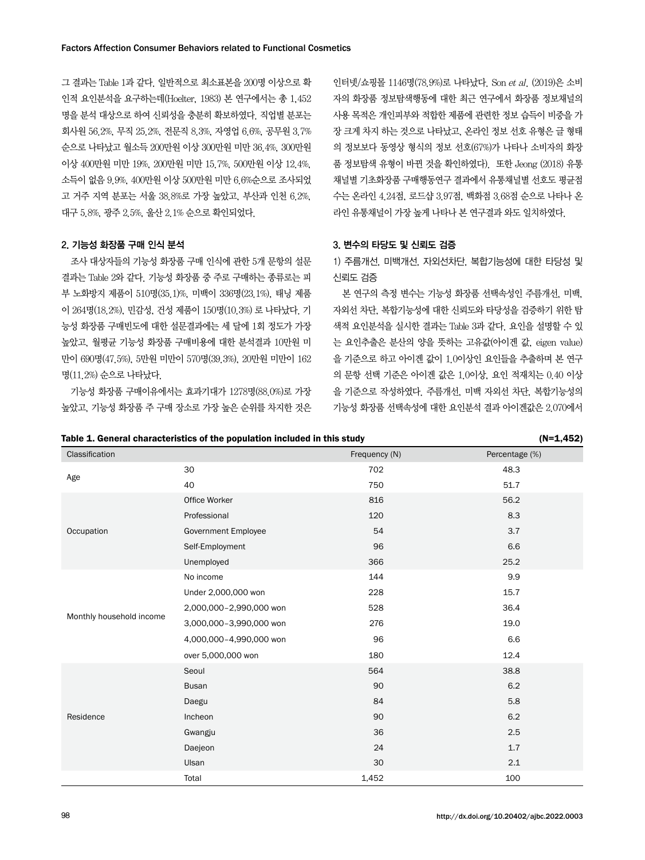그 결과는 Table 1과 같다. 일반적으로 최소표본을 200명 이상으로 확 인적 요인분석을 요구하는데(Hoelter, 1983) 본 연구에서는 총 1,452 명을 분석 대상으로 하여 신뢰성을 충분히 확보하였다. 직업별 분포는 회사원 56.2%, 무직 25.2%, 전문직 8.3%, 자영업 6.6%, 공무원 3.7% 순으로 나타났고 월소득 200만원 이상 300만원 미만 36.4%, 300만원 이상 400만원 미만 19%, 200만원 미만 15.7%, 500만원 이상 12.4%, 소득이 없음 9.9%, 400만원 이상 500만원 미만 6.6%순으로 조사되었 고 거주 지역 분포는 서울 38.8%로 가장 높았고, 부산과 인천 6.2%, 대구 5.8%, 광주 2.5%, 울산 2.1% 순으로 확인되었다.

#### 2. 기능성 화장품 구매 인식 분석

조사 대상자들의 기능성 화장품 구매 인식에 관한 5개 문항의 설문 결과는 Table 2와 같다. 기능성 화장품 중 주로 구매하는 종류로는 피 부 노화방지 제품이 510명(35.1)%, 미백이 336명(23.1%), 태닝 제품 이 264명(18.2%), 민감성, 건성 제품이 150명(10.3%) 로 나타났다. 기 능성 화장품 구매빈도에 대한 설문결과에는 세 달에 1회 정도가 가장 높았고, 월평균 기능성 화장품 구매비용에 대한 분석결과 10만원 미 만이 690명(47.5%), 5만원 미만이 570명(39.3%), 20만원 미만이 162 명(11.2%) 순으로 나타났다.

기능성 화장품 구매이유에서는 효과기대가 1278명(88.0%)로 가장 높았고, 기능성 화장품 주 구매 장소로 가장 높은 순위를 차지한 것은

인터넷/쇼핑몰 1146명(78.9%)로 나타났다. Son et al. (2019)은 소비 자의 화장품 정보탐색행동에 대한 최근 연구에서 화장품 정보채널의 사용 목적은 개인피부와 적합한 제품에 관련한 정보 습득이 비중을 가 장 크게 차지 하는 것으로 나타났고, 온라인 정보 선호 유형은 글 형태 의 정보보다 동영상 형식의 정보 선호(67%)가 나타나 소비자의 화장 품 정보탐색 유형이 바뀐 것을 확인하였다). 또한 Jeong (2018) 유통 채널별 기초화장품 구매행동연구 결과에서 유통채널별 선호도 평균점 수는 온라인 4.24점, 로드샵 3.97점, 백화점 3.68점 순으로 나타나 온 라인 유통채널이 가장 높게 나타나 본 연구결과 와도 일치하였다.

#### 3. 변수의 타당도 및 신뢰도 검증

1) 주름개선, 미백개선, 자외선차단, 복합기능성에 대한 타당성 및 신뢰도 검증

본 연구의 측정 변수는 기능성 화장품 선택속성인 주름개선, 미백, 자외선 차단, 복합기능성에 대한 신뢰도와 타당성을 검증하기 위한 탐 색적 요인분석을 실시한 결과는 Table 3과 같다. 요인을 설명할 수 있 는 요인추출은 분산의 양을 뜻하는 고유값(아이겐 값, eigen value) 을 기준으로 하고 아이겐 값이 1.0이상인 요인들을 추출하며 본 연구 의 문항 선택 기준은 아이겐 값은 1.0이상, 요인 적재치는 0.40 이상 을 기준으로 작성하였다. 주름개선, 미백 자외선 차단, 복합기능성의 기능성 화장품 선택속성에 대한 요인분석 결과 아이겐값은 2.070에서

|                          | rable 1. General characteristics or the population included in this study |               | $(11 - 1, 702)$ |
|--------------------------|---------------------------------------------------------------------------|---------------|-----------------|
| Classification           |                                                                           | Frequency (N) | Percentage (%)  |
|                          | 30                                                                        | 702           | 48.3            |
| Age                      | 40                                                                        | 750           | 51.7            |
|                          | Office Worker                                                             | 816           | 56.2            |
|                          | Professional                                                              | 120           | 8.3             |
| Occupation               | <b>Government Employee</b>                                                | 54            | 3.7             |
|                          | Self-Employment                                                           | 96            | 6.6             |
|                          | Unemployed                                                                | 366           | 25.2            |
|                          | No income                                                                 | 144           | 9.9             |
|                          | Under 2,000,000 won                                                       | 228           | 15.7            |
|                          | 2,000,000-2,990,000 won                                                   | 528           | 36.4            |
| Monthly household income | 3,000,000-3,990,000 won                                                   | 276           | 19.0            |
|                          | 4,000,000-4,990,000 won                                                   | 96            | 6.6             |
|                          | over 5,000,000 won                                                        | 180           | 12.4            |
|                          | Seoul                                                                     | 564           | 38.8            |
|                          | <b>Busan</b>                                                              | 90            | 6.2             |
|                          | Daegu                                                                     | 84            | 5.8             |
| Residence                | Incheon                                                                   | 90            | 6.2             |
|                          | Gwangju                                                                   | 36            | 2.5             |
|                          | Daejeon                                                                   | 24            | 1.7             |
|                          | Ulsan                                                                     | 30            | 2.1             |
|                          | Total                                                                     | 1,452         | 100             |

Table 1. General characteristics of the population included in this study (N=1,452)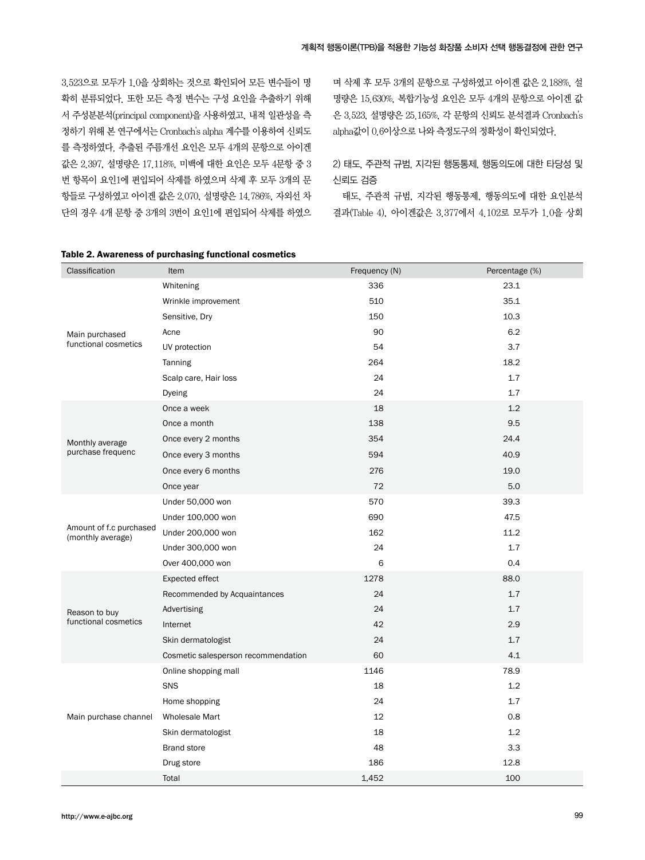3.523으로 모두가 1.0을 상회하는 것으로 확인되어 모든 변수들이 명 확히 분류되었다. 또한 모든 측정 변수는 구성 요인을 추출하기 위해 서 주성분분석(principal component)을 사용하였고, 내적 일관성을 측 정하기 위해 본 연구에서는 Cronbach's alpha 계수를 이용하여 신뢰도 를 측정하였다. 추출된 주름개선 요인은 모두 4개의 문항으로 아이겐 값은 2.397, 설명량은 17.118%, 미백에 대한 요인은 모두 4문항 중 3 번 항목이 요인1에 편입되어 삭제를 하였으며 삭제 후 모두 3개의 문 항들로 구성하였고 아이겐 값은 2.070, 설명량은 14.786%, 자외선 차 단의 경우 4개 문항 중 3개의 3번이 요인1에 편입되어 삭제를 하였으 며 삭제 후 모두 3개의 문항으로 구성하였고 아이겐 값은 2.188%, 설 명량은 15.630%, 복합기능성 요인은 모두 4개의 문항으로 아이겐 값 은 3.523, 설명량은 25.165%, 각 문항의 신뢰도 분석결과 Cronbach's alpha값이 0.6이상으로 나와 측정도구의 정확성이 확인되었다.

2) 태도, 주관적 규범, 지각된 행동통제, 행동의도에 대한 타당성 및 신뢰도 검증

태도, 주관적 규범, 지각된 행동통제, 행동의도에 대한 요인분석 결과(Table 4), 아이겐값은 3.377에서 4.102로 모두가 1.0을 상회

| Classification                               | Item                                | Frequency (N) | Percentage (%) |
|----------------------------------------------|-------------------------------------|---------------|----------------|
|                                              | Whitening                           | 336           | 23.1           |
|                                              | Wrinkle improvement                 | 510           | 35.1           |
|                                              | Sensitive, Dry                      | 150           | 10.3           |
| Main purchased                               | Acne                                | 90            | 6.2            |
| functional cosmetics                         | UV protection                       | 54            | 3.7            |
|                                              | Tanning                             | 264           | 18.2           |
|                                              | Scalp care, Hair loss               | 24            | 1.7            |
|                                              | Dyeing                              | 24            | 1.7            |
|                                              | Once a week                         | 18            | 1.2            |
|                                              | Once a month                        | 138           | 9.5            |
| Monthly average                              | Once every 2 months                 | 354           | 24.4           |
| purchase frequenc                            | Once every 3 months                 | 594           | 40.9           |
|                                              | Once every 6 months                 | 276           | 19.0           |
|                                              | Once year                           | 72            | 5.0            |
|                                              | Under 50,000 won                    | 570           | 39.3           |
|                                              | Under 100,000 won                   | 690           | 47.5           |
| Amount of f.c purchased<br>(monthly average) | Under 200,000 won                   | 162           | 11.2           |
|                                              | Under 300,000 won                   | 24            | 1.7            |
|                                              | Over 400,000 won                    | 6             | 0.4            |
|                                              | Expected effect                     | 1278          | 88.0           |
|                                              | Recommended by Acquaintances        | 24            | 1.7            |
| Reason to buy                                | Advertising                         | 24            | 1.7            |
| functional cosmetics                         | Internet                            | 42            | 2.9            |
|                                              | Skin dermatologist                  | 24            | 1.7            |
|                                              | Cosmetic salesperson recommendation | 60            | 4.1            |
|                                              | Online shopping mall                | 1146          | 78.9           |
|                                              | SNS                                 | 18            | 1.2            |
|                                              | Home shopping                       | 24            | 1.7            |
| Main purchase channel                        | <b>Wholesale Mart</b>               | 12            | 0.8            |
|                                              | Skin dermatologist                  | 18            | 1.2            |
|                                              | <b>Brand store</b>                  | 48            | 3.3            |
|                                              | Drug store                          | 186           | 12.8           |
|                                              | Total                               | 1,452         | 100            |

#### Table 2. Awareness of purchasing functional cosmetics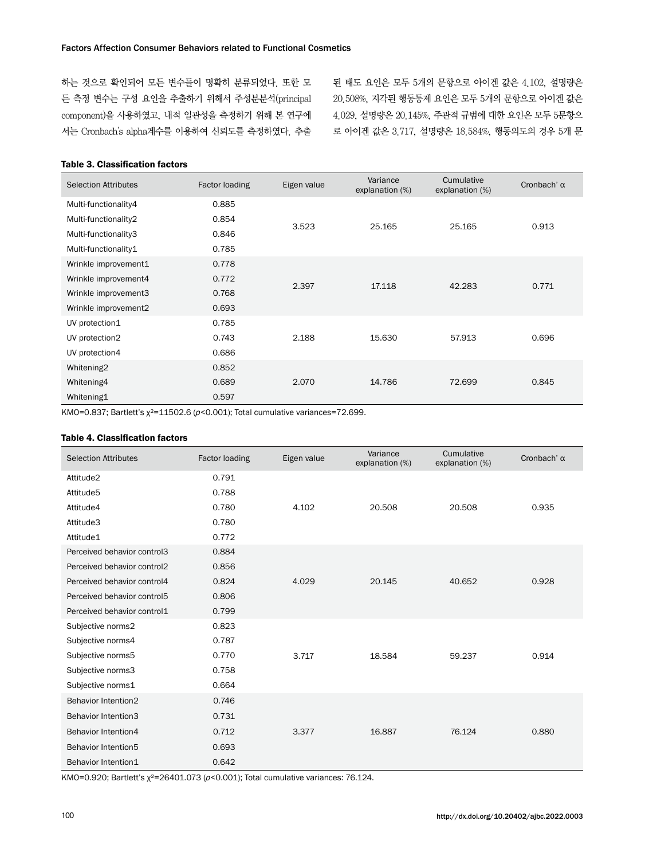하는 것으로 확인되어 모든 변수들이 명확히 분류되었다. 또한 모 든 측정 변수는 구성 요인을 추출하기 위해서 주성분분석(principal component)을 사용하였고, 내적 일관성을 측정하기 위해 본 연구에 서는 Cronbach's alpha계수를 이용하여 신뢰도를 측정하였다. 추출

된 태도 요인은 모두 5개의 문항으로 아이겐 값은 4.102, 설명량은 20.508%, 지각된 행동통제 요인은 모두 5개의 문항으로 아이겐 값은 4.029, 설명량은 20.145%, 주관적 규범에 대한 요인은 모두 5문항으 로 아이겐 값은 3.717, 설명량은 18.584%, 행동의도의 경우 5개 문

### Table 3. Classification factors

| <b>Selection Attributes</b> | Factor loading | Eigen value | Variance<br>explanation (%) | Cumulative<br>explanation (%) | Cronbach' $\alpha$ |
|-----------------------------|----------------|-------------|-----------------------------|-------------------------------|--------------------|
| Multi-functionality4        | 0.885          |             |                             |                               |                    |
| Multi-functionality2        | 0.854          | 3.523       | 25.165                      | 25.165                        | 0.913              |
| Multi-functionality3        | 0.846          |             |                             |                               |                    |
| Multi-functionality1        | 0.785          |             |                             |                               |                    |
| Wrinkle improvement1        | 0.778          |             |                             |                               |                    |
| Wrinkle improvement4        | 0.772          | 2.397       | 17.118                      | 42.283                        | 0.771              |
| Wrinkle improvement3        | 0.768          |             |                             |                               |                    |
| Wrinkle improvement2        | 0.693          |             |                             |                               |                    |
| UV protection1              | 0.785          |             |                             |                               |                    |
| UV protection2              | 0.743          | 2.188       | 15.630                      | 57.913                        | 0.696              |
| UV protection4              | 0.686          |             |                             |                               |                    |
| Whitening2                  | 0.852          |             |                             |                               |                    |
| Whitening4                  | 0.689          | 2.070       | 14.786                      | 72.699                        | 0.845              |
| Whitening1                  | 0.597          |             |                             |                               |                    |

KMO=0.837; Bartlett's  $x^2$ =11502.6 ( $p$ <0.001); Total cumulative variances=72.699.

#### Table 4. Classification factors

| <b>Selection Attributes</b> | Factor loading | Eigen value | Variance<br>explanation (%) | Cumulative<br>explanation (%) | Cronbach' $\alpha$ |
|-----------------------------|----------------|-------------|-----------------------------|-------------------------------|--------------------|
| Attitude2                   | 0.791          |             |                             |                               |                    |
| Attitude5                   | 0.788          |             |                             |                               |                    |
| Attitude4                   | 0.780          | 4.102       | 20.508                      | 20.508                        | 0.935              |
| Attitude3                   | 0.780          |             |                             |                               |                    |
| Attitude1                   | 0.772          |             |                             |                               |                    |
| Perceived behavior control3 | 0.884          |             |                             |                               |                    |
| Perceived behavior control2 | 0.856          |             |                             |                               |                    |
| Perceived behavior control4 | 0.824          | 4.029       | 20.145                      | 40.652                        | 0.928              |
| Perceived behavior control5 | 0.806          |             |                             |                               |                    |
| Perceived behavior control1 | 0.799          |             |                             |                               |                    |
| Subjective norms2           | 0.823          |             |                             |                               |                    |
| Subjective norms4           | 0.787          |             |                             |                               |                    |
| Subjective norms5           | 0.770          | 3.717       | 18.584                      | 59.237                        | 0.914              |
| Subjective norms3           | 0.758          |             |                             |                               |                    |
| Subjective norms1           | 0.664          |             |                             |                               |                    |
| <b>Behavior Intention2</b>  | 0.746          |             |                             |                               |                    |
| <b>Behavior Intention3</b>  | 0.731          |             |                             |                               |                    |
| Behavior Intention4         | 0.712          | 3.377       | 16.887                      | 76.124                        | 0.880              |
| Behavior Intention5         | 0.693          |             |                             |                               |                    |
| Behavior Intention1         | 0.642          |             |                             |                               |                    |

KMO=0.920; Bartlett's  $\chi^2$ =26401.073 ( $p$ <0.001); Total cumulative variances: 76.124.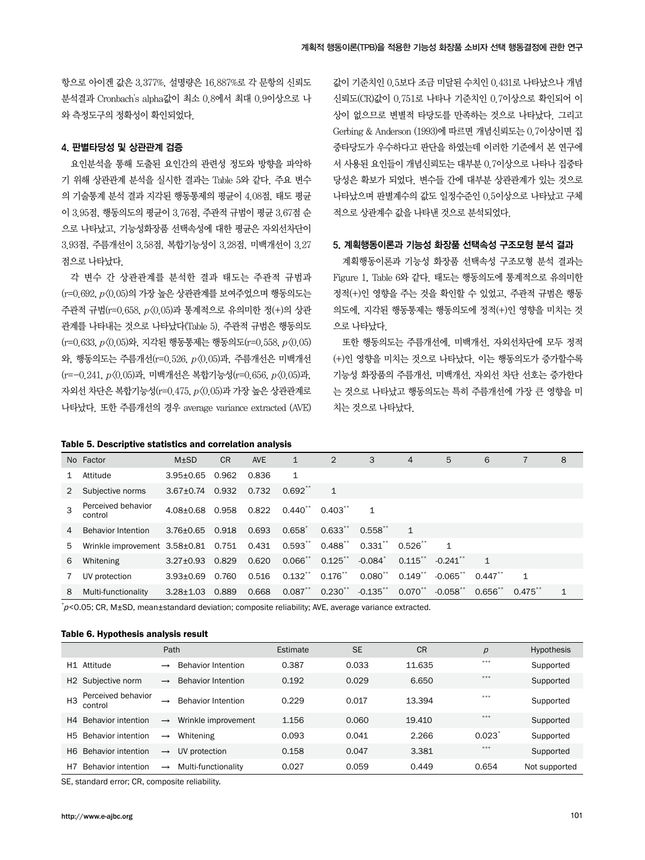항으로 아이겐 값은 3.377%, 설명량은 16.887%로 각 문항의 신뢰도 분석결과 Cronbach's alpha값이 최소 0.8에서 최대 0.9이상으로 나 와 측정도구의 정확성이 확인되었다.

#### 4. 판별타당성 및 상관관계 검증

요인분석을 통해 도출된 요인간의 관련성 정도와 방향을 파악하 기 위해 상관관계 분석을 실시한 결과는 Table 5와 같다. 주요 변수 의 기술통계 분석 결과 지각된 행동통제의 평균이 4.08점, 태도 평균 이 3.95점, 행동의도의 평균이 3.76점, 주관적 규범이 평균 3.67점 순 으로 나타났고, 기능성화장품 선택속성에 대한 평균은 자외선차단이 3.93점, 주름개선이 3.58점, 복합기능성이 3.28점, 미백개선이 3.27 점으로 나타났다.

각 변수 간 상관관계를 분석한 결과 태도는 주관적 규범과  $(r=0.692, p\langle 0.05\rangle)$ 의 가장 높은 상관관계를 보여주었으며 행동의도는 주관적 규범(r=0.658, p<0.05)과 통계적으로 유의미한 정(+)의 상관 관계를 나타내는 것으로 나타났다(Table 5). 주관적 규범은 행동의도 (r=0.633, p<0.05)와, 지각된 행동통제는 행동의도(r=0.558, p<0.05) 와, 행동의도는 주름개선(r=0.526, p<0.05)과, 주름개선은 미백개선 (r=-0.241, p<0.05)과, 미백개선은 복합기능성(r=0.656, p<0.05)과, 자외선 차단은 복합기능성(r=0.475, p<0.05)과 가장 높은 상관관계로 나타났다. 또한 주름개선의 경우 average variance extracted (AVE)

#### Table 5. Descriptive statistics and correlation analysis

값이 기준치인 0.5보다 조금 미달된 수치인 0.431로 나타났으나 개념 신뢰도(CR)값이 0.751로 나타나 기준치인 0.7이상으로 확인되어 이 상이 없으므로 변별적 타당도를 만족하는 것으로 나타났다. 그리고 Gerbing & Anderson (1993)에 따르면 개념신뢰도는 0.7이상이면 집 중타당도가 우수하다고 판단을 하였는데 이러한 기준에서 본 연구에 서 사용된 요인들이 개념신뢰도는 대부분 0.7이상으로 나타나 집중타 당성은 확보가 되었다. 변수들 간에 대부분 상관관계가 있는 것으로 나타났으며 판별계수의 값도 일정수준인 0.5이상으로 나타났고 구체 적으로 상관계수 값을 나타낸 것으로 분석되었다.

#### 5. 계획행동이론과 기능성 화장품 선택속성 구조모형 분석 결과

계획행동이론과 기능성 화장품 선택속성 구조모형 분석 결과는 Figure 1, Table 6와 같다. 태도는 행동의도에 통계적으로 유의미한 정적(+)인 영향을 주는 것을 확인할 수 있었고, 주관적 규범은 행동 의도에, 지각된 행동통제는 행동의도에 정적(+)인 영향을 미치는 것 으로 나타났다.

또한 행동의도는 주름개선에, 미백개선, 자외선차단에 모두 정적 (+)인 영향을 미치는 것으로 나타났다. 이는 행동의도가 증가할수록 기능성 화장품의 주름개선, 미백개선, 자외선 차단 선호는 증가한다 는 것으로 나타났고 행동의도는 특히 주름개선에 가장 큰 영향을 미 치는 것으로 나타났다.

|   | No Factor                                 | $M+SD$                | <b>CR</b>   | <b>AVE</b> | $\mathbf{1}$ | 2                                    | 3                     | $\overline{4}$ | 5                    | 6                     |            | 8            |
|---|-------------------------------------------|-----------------------|-------------|------------|--------------|--------------------------------------|-----------------------|----------------|----------------------|-----------------------|------------|--------------|
|   | Attitude                                  | $3.95 \pm 0.65$       | 0.962       | 0.836      | $\mathbf{1}$ |                                      |                       |                |                      |                       |            |              |
|   | Subjective norms                          | $3.67 + 0.74$         | 0.932 0.732 |            | $0.692***$   |                                      |                       |                |                      |                       |            |              |
|   | Perceived behavior<br>control             | 4.08+0.68 0.958 0.822 |             |            | $0.440$ **   | $0.403***$                           |                       |                |                      |                       |            |              |
| 4 | <b>Behavior Intention</b>                 | 3.76+0.65 0.918       |             | 0.693      | $0.658^*$    | $0.633**$                            | $0.558$ **            |                |                      |                       |            |              |
| 5 | Wrinkle improvement 3.58±0.81 0.751 0.431 |                       |             |            |              | $0.593$ $*$ $0.488$ $*$              | $0.331$ ** $0.526$ ** |                | $\mathbf{1}$         |                       |            |              |
| 6 | Whitening                                 | $3.27 + 0.93$ 0.829   |             | 0.620      |              | $0.066$ ** $0.125$ **                | $-0.084$              |                | $0.115$ $-0.241$ $*$ |                       |            |              |
|   | UV protection                             | $3.93 + 0.69$         | 0.760       | 0.516      | $0.132***$   | $0.176$ $\hspace{-1.5mm}^{\ast\ast}$ | $0.080^{**}$          | $0.149$ $*$    | $-0.065$ **          | $0.447$ <sup>**</sup> |            |              |
| 8 | Multi-functionality                       | $3.28 + 1.03$         | 0.889       | 0.668      | $0.087***$   | $0.230^{**}$ $-0.135^{**}$           |                       |                | $0.070$ $-0.058$ $*$ | $0.656**$             | $0.475***$ | $\mathbf{1}$ |

 $\phi$ <0.05; CR, M±SD, mean±standard deviation; composite reliability; AVE, average variance extracted.

#### Table 6. Hypothesis analysis result

|     |                                | Path          |                           | Estimate | <b>SE</b> | <b>CR</b> | $\mathcal{D}$        | <b>Hypothesis</b> |
|-----|--------------------------------|---------------|---------------------------|----------|-----------|-----------|----------------------|-------------------|
|     | H1 Attitude                    | $\rightarrow$ | <b>Behavior Intention</b> | 0.387    | 0.033     | 11.635    | $***$                | Supported         |
|     | H <sub>2</sub> Subjective norm | $\rightarrow$ | <b>Behavior Intention</b> | 0.192    | 0.029     | 6.650     | $***$                | Supported         |
| H3  | Perceived behavior<br>control  | $\rightarrow$ | <b>Behavior Intention</b> | 0.229    | 0.017     | 13.394    | $***$                | Supported         |
| H4  | Behavior intention             | $\rightarrow$ | Wrinkle improvement       | 1.156    | 0.060     | 19.410    | ***                  | Supported         |
| H5. | <b>Behavior intention</b>      | $\rightarrow$ | Whitening                 | 0.093    | 0.041     | 2.266     | $0.023$ <sup>*</sup> | Supported         |
| H6. | <b>Behavior intention</b>      | $\rightarrow$ | UV protection             | 0.158    | 0.047     | 3.381     | ***                  | Supported         |
| Η7  | Behavior intention             | $\rightarrow$ | Multi-functionality       | 0.027    | 0.059     | 0.449     | 0.654                | Not supported     |

SE, standard error; CR, composite reliability.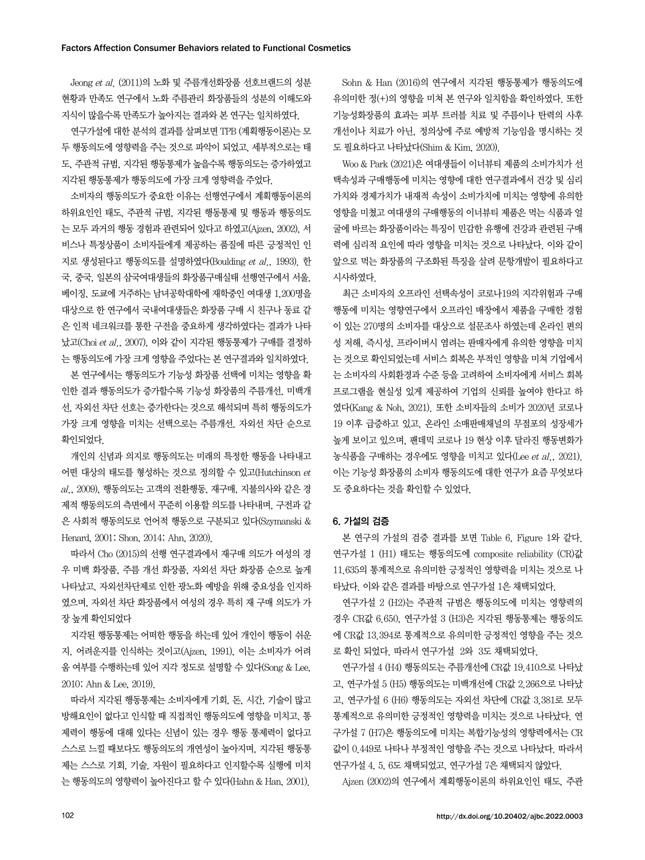Jeong et al. (2011)의 노화 및 주름개선화장품 선호브랜드의 성분 현황과 만족도 연구에서 노화 주름관리 화장품들의 성분의 이해도와 지식이 많을수록 만족도가 높아지는 결과와 본 연구는 일치하였다.

연구가설에 대한 분석의 결과를 살펴보면 TPB (계획행동이론)는 모 두 행동의도에 영향력을 주는 것으로 파악이 되었고, 세부적으로는 태 도, 주관적 규범, 지각된 행동통제가 높을수록 행동의도는 증가하였고 지각된 행동통제가 행동의도에 가장 크게 영향력을 주었다.

소비자의 행동의도가 중요한 이유는 선행연구에서 계획행동이론의 하위요인인 태도, 주관적 규범, 지각된 행동통제 및 행동과 행동의도 는 모두 과거의 행동 경험과 관련되어 있다고 하였고(Ajzen, 2002), 서 비스나 특정상품이 소비자들에게 제공하는 품질에 따른 긍정적인 인 지로 생성된다고 행동의도를 설명하였다(Boulding et al., 1993). 한 국, 중국, 일본의 삼국여대생들의 화장품구매실태 선행연구에서 서울, 베이징, 도쿄에 거주하는 남녀공학대학에 재학중인 여대생 1,200명을 대상으로 한 연구에서 국내여대생들은 화장품 구매 시 친구나 동료 같 은 인적 네크워크를 통한 구전을 중요하게 생각하였다는 결과가 나타 났고(Choi et al., 2007), 이와 같이 지각된 행동통제가 구매를 결정하 는 행동의도에 가장 크게 영향을 주었다는 본 연구결과와 일치하였다.

본 연구에서는 행동의도가 기능성 화장품 선택에 미치는 영향을 확 인한 결과 행동의도가 증가할수록 기능성 화장품의 주름개선, 미백개 선, 자외선 차단 선호는 증가한다는 것으로 해석되며 특히 행동의도가 가장 크게 영향을 미치는 선택으로는 주름개선, 자외선 차단 순으로 확인되었다.

개인의 신념과 의지로 행동의도는 미래의 특정한 행동을 나타내고 어떤 대상의 태도를 형성하는 것으로 정의할 수 있고 (Hutchinson et  $al$ ,  $2009$ ), 행동의도는 고객의 전환행동, 재구매, 지불의사와 같은 경 제적 행동의도의 측면에서 꾸준히 이용할 의도를 나타내며, 구전과 같 은 사회적 행동의도로 언어적 행동으로 구분되고 있다(Szymanski & Henard, 2001; Shon, 2014; Ahn, 2020).

따라서 Cho (2015)의 선행 연구결과에서 재구매 의도가 여성의 경 우 미백 화장품, 주름 개선 화장품, 자외선 차단 화장품 순으로 높게 나타났고, 자외선차단제로 인한 광노화 예방을 위해 중요성을 인지하 였으며, 자외선 차단 화장품에서 여성의 경우 특히 재 구매 의도가 가 장 높게 확인되었다

지각된 행동통제는 어떠한 행동을 하는데 있어 개인이 행동이 쉬운 지, 어려운지를 인식하는 것이고(Ajzen, 1991), 이는 소비자가 어려 움 여부를 수행하는데 있어 지각 정도로 설명할 수 있다(Song & Lee, 2010; Ahn & Lee, 2019).

따라서 지각된 행동통제는 소비자에게 기회, 돈, 시간, 기술이 많고 방해요인이 없다고 인식할 때 직접적인 행동의도에 영향을 미치고, 통 제력이 행동에 대해 있다는 신념이 있는 경우 행동 통제력이 없다고 스스로 느낄 때보다도 행동의도의 개연성이 높아지며, 지각된 행동통 제는 스스로 기회, 기술, 자원이 필요하다고 인지할수록 실행에 미치 는 행동의도의 영향력이 높아진다고 할 수 있다(Hahn & Han, 2001).

Sohn & Han (2016)의 연구에서 지각된 행동통제가 행동의도에 유의미한 정(+)의 영향을 미쳐 본 연구와 일치함을 확인하였다. 또한 기능성화장품의 효과는 피부 트러블 치료 및 주름이나 탄력의 사후 개선이나 치료가 아닌, 정의상에 주로 예방적 기능임을 명시하는 것 도 필요하다고 나타났다(Shim & Kim, 2020).

Woo & Park (2021)은 여대생들이 이너뷰티 제품의 소비가치가 선 택속성과 구매행동에 미치는 영향에 대한 연구결과에서 건강 및 심리 가치와 경제가치가 내재적 속성이 소비가치에 미치는 영향에 유의한 영향을 미쳤고 여대생의 구매행동의 이너뷰티 제품은 먹는 식품과 얼 굴에 바르는 화장품이라는 특징이 민감한 유행에 건강과 관련된 구매 력에 심리적 요인에 따라 영향을 미치는 것으로 나타났다. 이와 같이 앞으로 먹는 화장품의 구조화된 특징을 살려 문항개발이 필요하다고 시사하였다.

최근 소비자의 오프라인 선택속성이 코로나19의 지각위험과 구매 행동에 미치는 영향연구에서 오프라인 매장에서 제품을 구매한 경험 이 있는 270명의 소비자를 대상으로 설문조사 하였는데 온라인 편의 성 저해, 즉시성, 프라이버시 염려는 판매자에게 유의한 영향을 미치 는 것으로 확인되었는데 서비스 회복은 부적인 영향을 미쳐 기업에서 는 소비자의 사회환경과 수준 등을 고려하여 소비자에게 서비스 회복 프로그램을 현실성 있게 제공하여 기업의 신뢰를 높여야 한다고 하 였다(Kang & Noh, 2021). 또한 소비자들의 소비가 2020년 코로나 19 이후 급증하고 있고, 온라인 소매판매채널의 무점포의 성장세가 높게 보이고 있으며, 팬데믹 코로나 19 현상 이후 달라진 행동변화가 농식품을 구매하는 경우에도 영향을 미치고 있다(Lee et al., 2021). 이는 기능성 화장품의 소비자 행동의도에 대한 연구가 요즘 무엇보다 도 중요하다는 것을 확인할 수 있었다.

#### 6. 가설의 검증

본 연구의 가설의 검증 결과를 보면 Table 6, Figure 1와 같다. 연구가설 1 (H1) 태도는 행동의도에 composite reliability (CR)값 11.635의 통계적으로 유의미한 긍정적인 영향력을 미치는 것으로 나 타났다. 이와 같은 결과를 바탕으로 연구가설 1은 채택되었다.

연구가설 2 (H2)는 주관적 규범은 행동의도에 미치는 영향력의 경우 CR값 6.650, 연구가설 3 (H3)은 지각된 행동통제는 행동의도 에 CR값 13.394로 통계적으로 유의미한 긍정적인 영향을 주는 것으 로 확인 되었다. 따라서 연구가설 2와 3도 채택되었다.

연구가설 4 (H4) 행동의도는 주름개선에 CR값 19.410으로 나타났 고, 연구가설 5 (H5) 행동의도는 미백개선에 CR값 2.266으로 나타났 고, 연구가설 6 (H6) 행동의도는 자외선 차단에 CR값 3.381로 모두 통계적으로 유의미한 긍정적인 영향력을 미치는 것으로 나타났다. 연 구가설 7 (H7)은 행동의도에 미치는 복합기능성의 영향력에서는 CR 값이 0.449로 나타나 부정적인 영향을 주는 것으로 나타났다. 따라서 연구가설 4, 5, 6도 채택되었고, 연구가설 7은 채택되지 않았다.

Ajzen (2002)의 연구에서 계획행동이론의 하위요인인 태도, 주관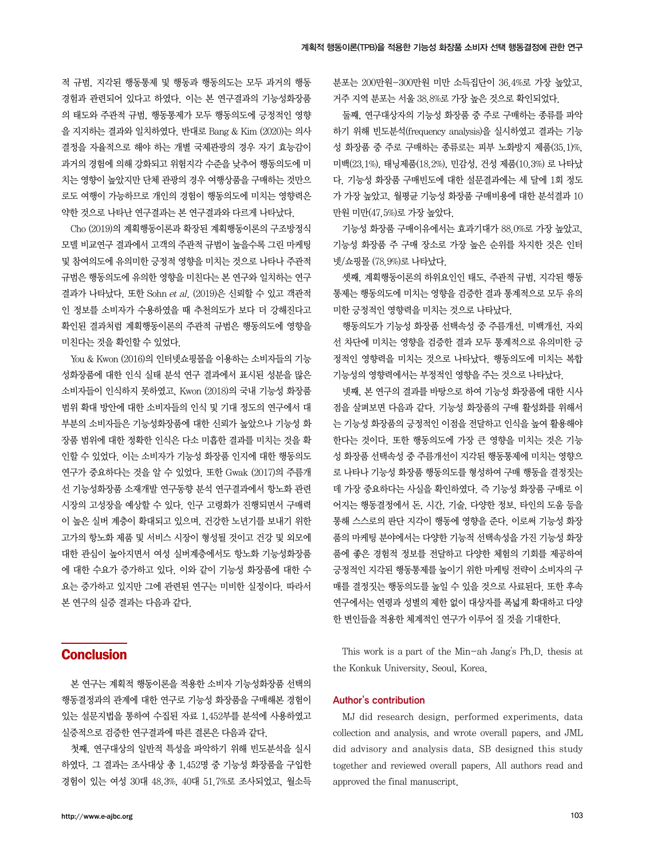적 규범, 지각된 행동통제 및 행동과 행동의도는 모두 과거의 행동 경험과 관련되어 있다고 하였다. 이는 본 연구결과의 기능성화장품 의 태도와 주관적 규범, 행동통제가 모두 행동의도에 긍정적인 영향 을 지지하는 결과와 일치하였다. 반대로 Bang & Kim (2020)는 의사 결정을 자율적으로 해야 하는 개별 국제관광의 경우 자기 효능감이 과거의 경험에 의해 강화되고 위험지각 수준을 낮추어 행동의도에 미 치는 영향이 높았지만 단체 관광의 경우 여행상품을 구매하는 것만으 로도 여행이 가능하므로 개인의 경험이 행동의도에 미치는 영향력은 약한 것으로 나타난 연구결과는 본 연구결과와 다르게 나타났다.

Cho (2019)의 계획행동이론과 확장된 계획행동이론의 구조방정식 모델 비교연구 결과에서 고객의 주관적 규범이 높을수록 그린 마케팅 및 참여의도에 유의미한 긍정적 영향을 미치는 것으로 나타나 주관적 규범은 행동의도에 유의한 영향을 미친다는 본 연구와 일치하는 연구 결과가 나타났다. 또한 Sohn et al. (2019)은 신뢰할 수 있고 객관적 인 정보를 소비자가 수용하였을 때 추천의도가 보다 더 강해진다고 확인된 결과처럼 계획행동이론의 주관적 규범은 행동의도에 영향을 미친다는 것을 확인할 수 있었다.

You & Kwon (2016)의 인터넷쇼핑몰을 이용하는 소비자들의 기능 성화장품에 대한 인식 실태 분석 연구 결과에서 표시된 성분을 많은 소비자들이 인식하지 못하였고, Kwon (2018)의 국내 기능성 화장품 범위 확대 방안에 대한 소비자들의 인식 및 기대 정도의 연구에서 대 부분의 소비자들은 기능성화장품에 대한 신뢰가 높았으나 기능성 화 장품 범위에 대한 정확한 인식은 다소 미흡한 결과를 미치는 것을 확 인할 수 있었다. 이는 소비자가 기능성 화장품 인지에 대한 행동의도 연구가 중요하다는 것을 알 수 있었다. 또한 Gwak (2017)의 주름개 선 기능성화장품 소재개발 연구동향 분석 연구결과에서 항노화 관련 시장의 고성장을 예상할 수 있다. 인구 고령화가 진행되면서 구매력 이 높은 실버 계층이 확대되고 있으며, 건강한 노년기를 보내기 위한 고가의 항노화 제품 및 서비스 시장이 형성될 것이고 건강 및 외모에 대한 관심이 높아지면서 여성 실버계층에서도 항노화 기능성화장품 에 대한 수요가 증가하고 있다. 이와 같이 기능성 화장품에 대한 수 요는 증가하고 있지만 그에 관련된 연구는 미비한 실정이다. 따라서 본 연구의 실증 결과는 다음과 같다.

### **Conclusion**

본 연구는 계획적 행동이론을 적용한 소비자 기능성화장품 선택의 행동결정과의 관계에 대한 연구로 기능성 화장품을 구매해본 경험이 있는 설문지법을 통하여 수집된 자료 1,452부를 분석에 사용하였고 실증적으로 검증한 연구결과에 따른 결론은 다음과 같다.

첫째, 연구대상의 일반적 특성을 파악하기 위해 빈도분석을 실시 하였다. 그 결과는 조사대상 총 1,452명 중 기능성 화장품을 구입한 경험이 있는 여성 30대 48.3%, 40대 51.7%로 조사되었고, 월소득

분포는 200만원-300만원 미만 소득집단이 36.4%로 가장 높았고, 거주 지역 분포는 서울 38.8%로 가장 높은 것으로 확인되었다.

둘째, 연구대상자의 기능성 화장품 중 주로 구매하는 종류를 파악 하기 위해 빈도분석(frequency analysis)을 실시하였고 결과는 기능 성 화장품 중 주로 구매하는 종류로는 피부 노화방지 제품(35.1)%, 미백(23.1%), 태닝제품(18.2%), 민감성, 건성 제품(10.3%) 로 나타났 다. 기능성 화장품 구매빈도에 대한 설문결과에는 세 달에 1회 정도 가 가장 높았고, 월평균 기능성 화장품 구매비용에 대한 분석결과 10 만원 미만(47.5%)로 가장 높았다.

기능성 화장품 구매이유에서는 효과기대가 88.0%로 가장 높았고, 기능성 화장품 주 구매 장소로 가장 높은 순위를 차지한 것은 인터 넷/쇼핑몰 (78.9%)로 나타났다.

셋째, 계획행동이론의 하위요인인 태도, 주관적 규범, 지각된 행동 통제는 행동의도에 미치는 영향을 검증한 결과 통계적으로 모두 유의 미한 긍정적인 영향력을 미치는 것으로 나타났다.

행동의도가 기능성 화장품 선택속성 중 주름개선, 미백개선, 자외 선 차단에 미치는 영향을 검증한 결과 모두 통계적으로 유의미한 긍 정적인 영향력을 미치는 것으로 나타났다. 행동의도에 미치는 복합 기능성의 영향력에서는 부정적인 영향을 주는 것으로 나타났다.

넷째, 본 연구의 결과를 바탕으로 하여 기능성 화장품에 대한 시사 점을 살펴보면 다음과 같다. 기능성 화장품의 구매 활성화를 위해서 는 기능성 화장품의 긍정적인 이점을 전달하고 인식을 높여 활용해야 한다는 것이다. 또한 행동의도에 가장 큰 영향을 미치는 것은 기능 성 화장품 선택속성 중 주름개선이 지각된 행동통제에 미치는 영향으 로 나타나 기능성 화장품 행동의도를 형성하여 구매 행동을 결정짓는 데 가장 중요하다는 사실을 확인하였다. 즉 기능성 화장품 구매로 이 어지는 행동결정에서 돈, 시간, 기술, 다양한 정보, 타인의 도움 등을 통해 스스로의 판단 지각이 행동에 영향을 준다. 이로써 기능성 화장 품의 마케팅 분야에서는 다양한 기능적 선택속성을 가진 기능성 화장 품에 좋은 경험적 정보를 전달하고 다양한 체험의 기회를 제공하여 긍정적인 지각된 행동통제를 높이기 위한 마케팅 전략이 소비자의 구 매를 결정짓는 행동의도를 높일 수 있을 것으로 사료된다. 또한 후속 연구에서는 연령과 성별의 제한 없이 대상자를 폭넓게 확대하고 다양 한 변인들을 적용한 체계적인 연구가 이루어 질 것을 기대한다.

This work is a part of the Min-ah Jang's Ph.D. thesis at the Konkuk University, Seoul, Korea.

#### Author's contribution

MJ did research design, performed experiments, data collection and analysis, and wrote overall papers, and JML did advisory and analysis data. SB designed this study together and reviewed overall papers. All authors read and approved the final manuscript.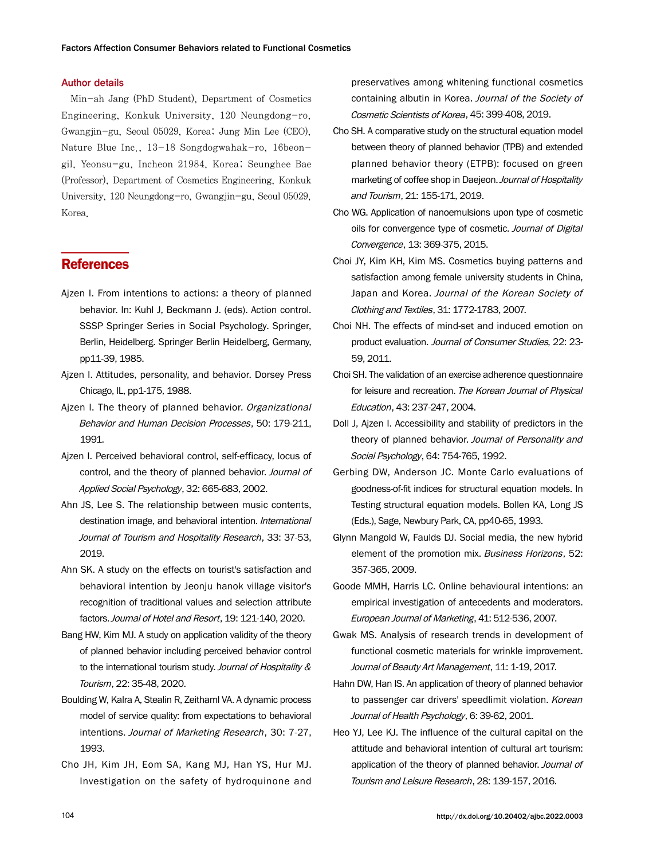#### Author details

Min-ah Jang (PhD Student), Department of Cosmetics Engineering, Konkuk University, 120 Neungdong-ro, Gwangjin-gu, Seoul 05029, Korea; Jung Min Lee (CEO), Nature Blue Inc., 13-18 Songdogwahak-ro, 16beongil, Yeonsu-gu, Incheon 21984, Korea; Seunghee Bae (Professor), Department of Cosmetics Engineering, Konkuk University, 120 Neungdong-ro, Gwangjin-gu, Seoul 05029, Korea.

### **References**

- Ajzen I. From intentions to actions: a theory of planned behavior. In: Kuhl J, Beckmann J. (eds). Action control. SSSP Springer Series in Social Psychology. Springer, Berlin, Heidelberg. Springer Berlin Heidelberg, Germany, pp11-39, 1985.
- Ajzen I. Attitudes, personality, and behavior. Dorsey Press Chicago, IL, pp1-175, 1988.
- Ajzen I. The theory of planned behavior. Organizational Behavior and Human Decision Processes, 50: 179-211, 1991.
- Ajzen I. Perceived behavioral control, self-efficacy, locus of control, and the theory of planned behavior. Journal of Applied Social Psychology, 32: 665-683, 2002.
- Ahn JS, Lee S. The relationship between music contents, destination image, and behavioral intention. International Journal of Tourism and Hospitality Research, 33: 37-53, 2019.
- Ahn SK. A study on the effects on tourist's satisfaction and behavioral intention by Jeonju hanok village visitor's recognition of traditional values and selection attribute factors. Journal of Hotel and Resort, 19: 121-140, 2020.
- Bang HW, Kim MJ. A study on application validity of the theory of planned behavior including perceived behavior control to the international tourism study. Journal of Hospitality & Tourism, 22: 35-48, 2020.
- Boulding W, Kalra A, Stealin R, Zeithaml VA. A dynamic process model of service quality: from expectations to behavioral intentions. Journal of Marketing Research, 30: 7-27, 1993.
- Cho JH, Kim JH, Eom SA, Kang MJ, Han YS, Hur MJ. Investigation on the safety of hydroquinone and

preservatives among whitening functional cosmetics containing albutin in Korea. Journal of the Society of Cosmetic Scientists of Korea, 45: 399-408, 2019.

- Cho SH. A comparative study on the structural equation model between theory of planned behavior (TPB) and extended planned behavior theory (ETPB): focused on green marketing of coffee shop in Daejeon. Journal of Hospitality and Tourism, 21: 155-171, 2019.
- Cho WG. Application of nanoemulsions upon type of cosmetic oils for convergence type of cosmetic. Journal of Digital Convergence, 13: 369-375, 2015.
- Choi JY, Kim KH, Kim MS. Cosmetics buying patterns and satisfaction among female university students in China, Japan and Korea. Journal of the Korean Society of Clothing and Textiles, 31: 1772-1783, 2007.
- Choi NH. The effects of mind-set and induced emotion on product evaluation. Journal of Consumer Studies, 22: 23- 59, 2011.
- Choi SH. The validation of an exercise adherence questionnaire for leisure and recreation. The Korean Journal of Physical Education, 43: 237-247, 2004.
- Doll J, Ajzen I. Accessibility and stability of predictors in the theory of planned behavior. Journal of Personality and Social Psychology, 64: 754-765, 1992.
- Gerbing DW, Anderson JC. Monte Carlo evaluations of goodness-of-fit indices for structural equation models. In Testing structural equation models. Bollen KA, Long JS (Eds.), Sage, Newbury Park, CA, pp40-65, 1993.
- Glynn Mangold W, Faulds DJ. Social media, the new hybrid element of the promotion mix. Business Horizons, 52: 357-365, 2009.
- Goode MMH, Harris LC. Online behavioural intentions: an empirical investigation of antecedents and moderators. European Journal of Marketing, 41: 512-536, 2007.
- Gwak MS. Analysis of research trends in development of functional cosmetic materials for wrinkle improvement. Journal of Beauty Art Management, 11: 1-19, 2017.
- Hahn DW, Han IS. An application of theory of planned behavior to passenger car drivers' speedlimit violation. Korean Journal of Health Psychology, 6: 39-62, 2001.
- Heo YJ, Lee KJ. The influence of the cultural capital on the attitude and behavioral intention of cultural art tourism: application of the theory of planned behavior. Journal of Tourism and Leisure Research, 28: 139-157, 2016.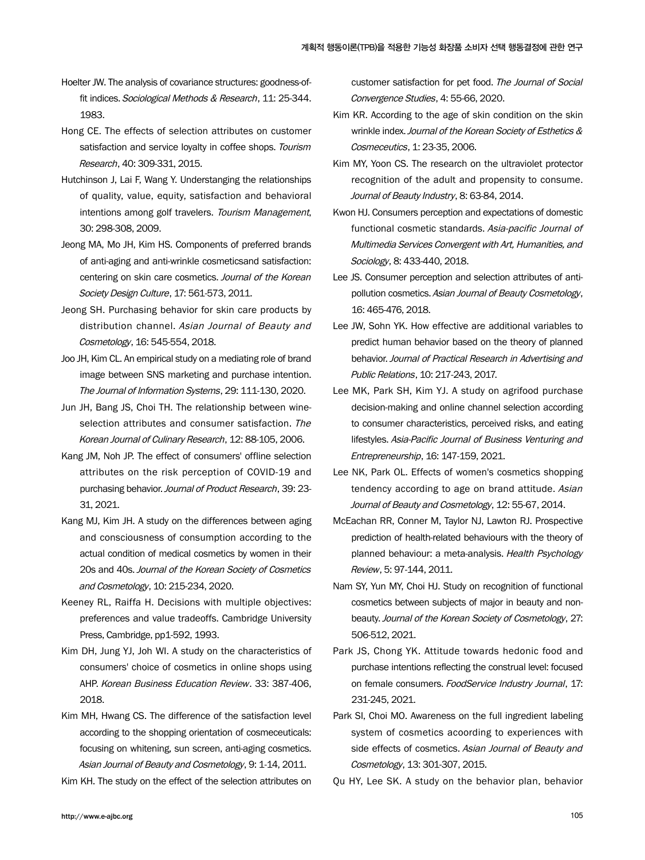- Hoelter JW. The analysis of covariance structures: goodness-offit indices. Sociological Methods & Research, 11: 25-344. 1983.
- Hong CE. The effects of selection attributes on customer satisfaction and service loyalty in coffee shops. Tourism Research, 40: 309-331, 2015.
- Hutchinson J, Lai F, Wang Y. Understanging the relationships of quality, value, equity, satisfaction and behavioral intentions among golf travelers. Tourism Management, 30: 298-308, 2009.
- Jeong MA, Mo JH, Kim HS. Components of preferred brands of anti-aging and anti-wrinkle cosmeticsand satisfaction: centering on skin care cosmetics. Journal of the Korean Society Design Culture, 17: 561-573, 2011.
- Jeong SH. Purchasing behavior for skin care products by distribution channel. Asian Journal of Beauty and Cosmetology, 16: 545-554, 2018.
- Joo JH, Kim CL. An empirical study on a mediating role of brand image between SNS marketing and purchase intention. The Journal of Information Systems, 29: 111-130, 2020.
- Jun JH, Bang JS, Choi TH. The relationship between wineselection attributes and consumer satisfaction. The Korean Journal of Culinary Research, 12: 88-105, 2006.
- Kang JM, Noh JP. The effect of consumers' offline selection attributes on the risk perception of COVID-19 and purchasing behavior. Journal of Product Research, 39: 23- 31, 2021.
- Kang MJ, Kim JH. A study on the differences between aging and consciousness of consumption according to the actual condition of medical cosmetics by women in their 20s and 40s. Journal of the Korean Society of Cosmetics and Cosmetology, 10: 215-234, 2020.
- Keeney RL, Raiffa H. Decisions with multiple objectives: preferences and value tradeoffs. Cambridge University Press, Cambridge, pp1-592, 1993.
- Kim DH, Jung YJ, Joh WI. A study on the characteristics of consumers' choice of cosmetics in online shops using AHP. Korean Business Education Review. 33: 387-406, 2018.
- Kim MH, Hwang CS. The difference of the satisfaction level according to the shopping orientation of cosmeceuticals: focusing on whitening, sun screen, anti-aging cosmetics. Asian Journal of Beauty and Cosmetology, 9: 1-14, 2011.

Kim KH. The study on the effect of the selection attributes on

customer satisfaction for pet food. The Journal of Social Convergence Studies, 4: 55-66, 2020.

- Kim KR. According to the age of skin condition on the skin wrinkle index. Journal of the Korean Society of Esthetics & Cosmeceutics, 1: 23-35, 2006.
- Kim MY, Yoon CS. The research on the ultraviolet protector recognition of the adult and propensity to consume. Journal of Beauty Industry, 8: 63-84, 2014.
- Kwon HJ. Consumers perception and expectations of domestic functional cosmetic standards. Asia-pacific Journal of Multimedia Services Convergent with Art, Humanities, and Sociology, 8: 433-440, 2018.
- Lee JS. Consumer perception and selection attributes of antipollution cosmetics. Asian Journal of Beauty Cosmetology, 16: 465-476, 2018.
- Lee JW, Sohn YK. How effective are additional variables to predict human behavior based on the theory of planned behavior. Journal of Practical Research in Advertising and Public Relations, 10: 217-243, 2017.
- Lee MK, Park SH, Kim YJ. A study on agrifood purchase decision-making and online channel selection according to consumer characteristics, perceived risks, and eating lifestyles. Asia-Pacific Journal of Business Venturing and Entrepreneurship, 16: 147-159, 2021.
- Lee NK, Park OL. Effects of women's cosmetics shopping tendency according to age on brand attitude. Asian Journal of Beauty and Cosmetology, 12: 55-67, 2014.
- McEachan RR, Conner M, Taylor NJ, Lawton RJ. Prospective prediction of health-related behaviours with the theory of planned behaviour: a meta-analysis. Health Psychology Review, 5: 97-144, 2011.
- Nam SY, Yun MY, Choi HJ. Study on recognition of functional cosmetics between subjects of major in beauty and nonbeauty. Journal of the Korean Society of Cosmetology, 27: 506-512, 2021.
- Park JS, Chong YK. Attitude towards hedonic food and purchase intentions reflecting the construal level: focused on female consumers. FoodService Industry Journal, 17: 231-245, 2021.
- Park SI, Choi MO. Awareness on the full ingredient labeling system of cosmetics acoording to experiences with side effects of cosmetics. Asian Journal of Beauty and Cosmetology, 13: 301-307, 2015.
- Qu HY, Lee SK. A study on the behavior plan, behavior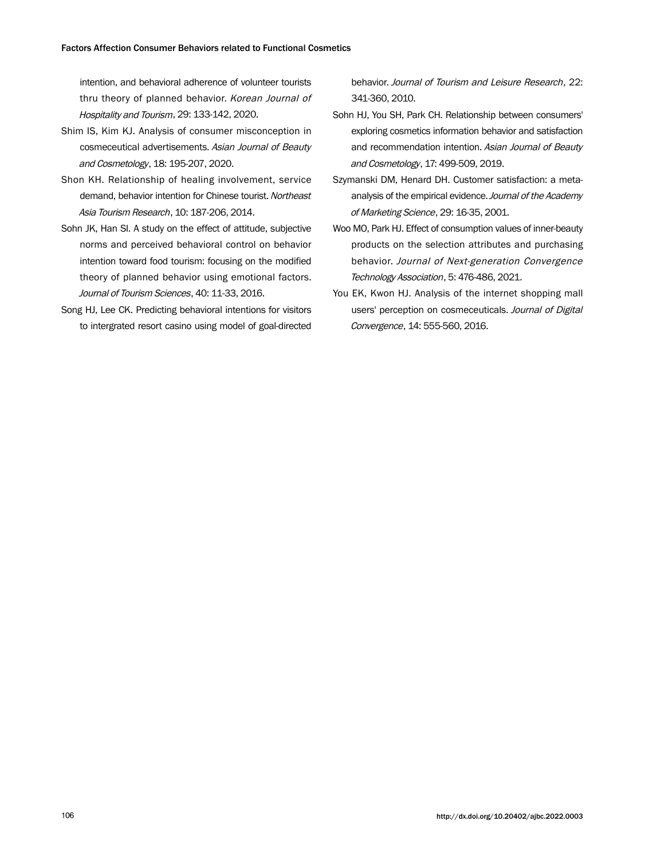intention, and behavioral adherence of volunteer tourists thru theory of planned behavior. Korean Journal of Hospitality and Tourism, 29: 133-142, 2020.

- Shim IS, Kim KJ. Analysis of consumer misconception in cosmeceutical advertisements. Asian Journal of Beauty and Cosmetology, 18: 195-207, 2020.
- Shon KH. Relationship of healing involvement, service demand, behavior intention for Chinese tourist. Northeast Asia Tourism Research, 10: 187-206, 2014.
- Sohn JK, Han SI. A study on the effect of attitude, subjective norms and perceived behavioral control on behavior intention toward food tourism: focusing on the modified theory of planned behavior using emotional factors. Journal of Tourism Sciences, 40: 11-33, 2016.
- Song HJ, Lee CK. Predicting behavioral intentions for visitors to intergrated resort casino using model of goal-directed

behavior. Journal of Tourism and Leisure Research, 22: 341-360, 2010.

- Sohn HJ, You SH, Park CH. Relationship between consumers' exploring cosmetics information behavior and satisfaction and recommendation intention. Asian Journal of Beauty and Cosmetology, 17: 499-509, 2019.
- Szymanski DM, Henard DH. Customer satisfaction: a metaanalysis of the empirical evidence. Journal of the Academy of Marketing Science, 29: 16-35, 2001.
- Woo MO, Park HJ. Effect of consumption values of inner-beauty products on the selection attributes and purchasing behavior. Journal of Next-generation Convergence Technology Association, 5: 476-486, 2021.
- You EK, Kwon HJ. Analysis of the internet shopping mall users' perception on cosmeceuticals. Journal of Digital Convergence, 14: 555-560, 2016.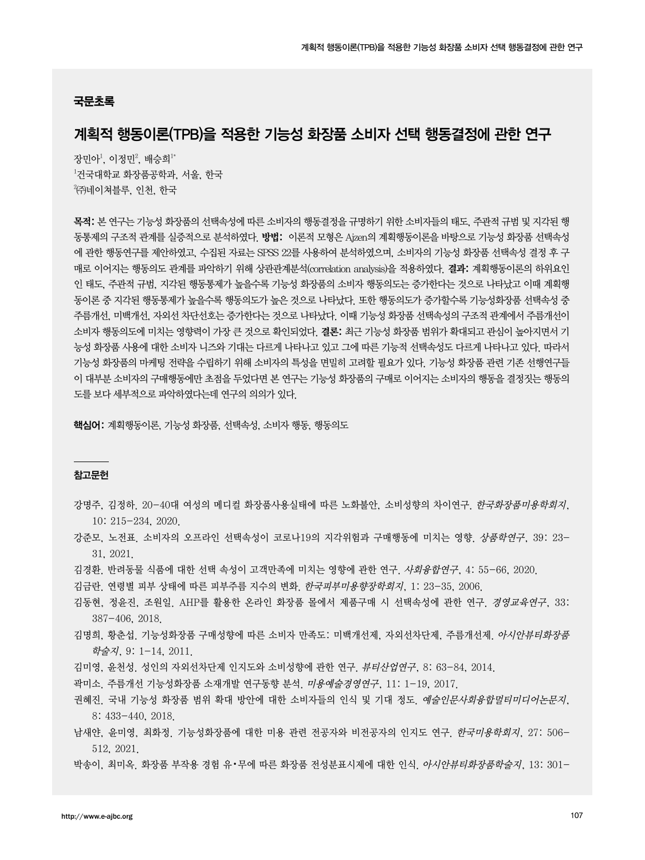#### 국문초록

## 계획적 행동이론(TPB)을 적용한 기능성 화장품 소비자 선택 행동결정에 관한 연구

장민아 $^1$ , 이정민 $^2$ , 배승희 $^1\!^*$ 1 건국대학교 화장품공학과, 서울, 한국  $^{2}$ ㈜네이쳐블루, 인천, 한국

목적: 본 연구는 기능성 화장품의 선택속성에 따른 소비자의 행동결정을 규명하기 위한 소비자들의 태도, 주관적 규범 및 지각된 행 동통제의 구조적 관계를 실증적으로 분석하였다. 방법: 이론적 모형은 Ajzen의 계획행동이론을 바탕으로 기능성 화장품 선택속성 에 관한 행동연구를 제안하였고, 수집된 자료는 SPSS 22를 사용하여 분석하였으며, 소비자의 기능성 화장품 선택속성 결정 후 구 매로 이어지는 행동의도 관계를 파악하기 위해 상관관계분석(correlation analysis)을 적용하였다. 결과: 계획행동이론의 하위요인 인 태도, 주관적 규범, 지각된 행동통제가 높을수록 기능성 화장품의 소비자 행동의도는 증가한다는 것으로 나타났고 이때 계획행 동이론 중 지각된 행동통제가 높을수록 행동의도가 높은 것으로 나타났다. 또한 행동의도가 증가할수록 기능성화장품 선택속성 중 주름개선, 미백개선, 자외선 차단선호는 증가한다는 것으로 나타났다. 이때 기능성 화장품 선택속성의 구조적 관계에서 주름개선이 소비자 행동의도에 미치는 영향력이 가장 큰 것으로 확인되었다. 결론: 최근 기능성 화장품 범위가 확대되고 관심이 높아지면서 기 능성 화장품 사용에 대한 소비자 니즈와 기대는 다르게 나타나고 있고 그에 따른 기능적 선택속성도 다르게 나타나고 있다. 따라서 기능성 화장품의 마케팅 전략을 수립하기 위해 소비자의 특성을 면밀히 고려할 필요가 있다. 기능성 화장품 관련 기존 선행연구들 이 대부분 소비자의 구매행동에만 초점을 두었다면 본 연구는 기능성 화장품의 구매로 이어지는 소비자의 행동을 결정짓는 행동의 도를 보다 세부적으로 파악하였다는데 연구의 의의가 있다.

핵심어: 계획행동이론, 기능성 화장품, 선택속성, 소비자 행동, 행동의도

#### 참고문헌

- 강명주, 김정하. 20-40대 여성의 메디컬 화장품사용실태에 따른 노화불안, 소비성향의 차이연구. 한국화장품미용학회지, 10: 215-234, 2020.
- 강준모, 노전표. 소비자의 오프라인 선택속성이 코로나19의 지각위험과 구매행동에 미치는 영향. 상품학연구, 39: 23- 31, 2021.
- 김경환. 반려동물 식품에 대한 선택 속성이 고객만족에 미치는 영향에 관한 연구. 사회융합연구, 4: 55-66, 2020.
- 김금란. 연령별 피부 상태에 따른 피부주름 지수의 변화. 한국피부미용향장학회지, 1: 23-35, 2006.
- 김동현, 정윤진, 조원일. AHP를 활용한 온라인 화장품 몰에서 제품구매 시 선택속성에 관한 연구. 경영교육연구, 33: 387-406, 2018.
- 김명희, 황춘섭. 기능성화장품 구매성향에 따른 소비자 만족도: 미백개선제, 자외선차단제, 주름개선제. *아시안뷰티화장품* 학술지, 9: 1-14, 2011.
- 김미영, 윤천성. 성인의 자외선차단제 인지도와 소비성향에 관한 연구. 뷰티산업연구, 8: 63-84, 2014.
- 곽미소. 주름개선 기능성화장품 소재개발 연구동향 분석. 미용예술경영연구, 11: 1-19, 2017.
- 권혜진. 국내 기능성 화장품 범위 확대 방안에 대한 소비자들의 인식 및 기대 정도. 예술인문사회융합멀티미디어논문지, 8: 433-440, 2018.
- 남새얀, 윤미영, 최화정. 기능성화장품에 대한 미용 관련 전공자와 비전공자의 인지도 연구. 한국미용학회지, 27: 506- 512, 2021.
- 박송이, 최미옥, 화장품 부작용 경험 유•무에 따른 화장품 전성분표시제에 대한 인식. *아시안뷰티화장품학술지*, 13: 301-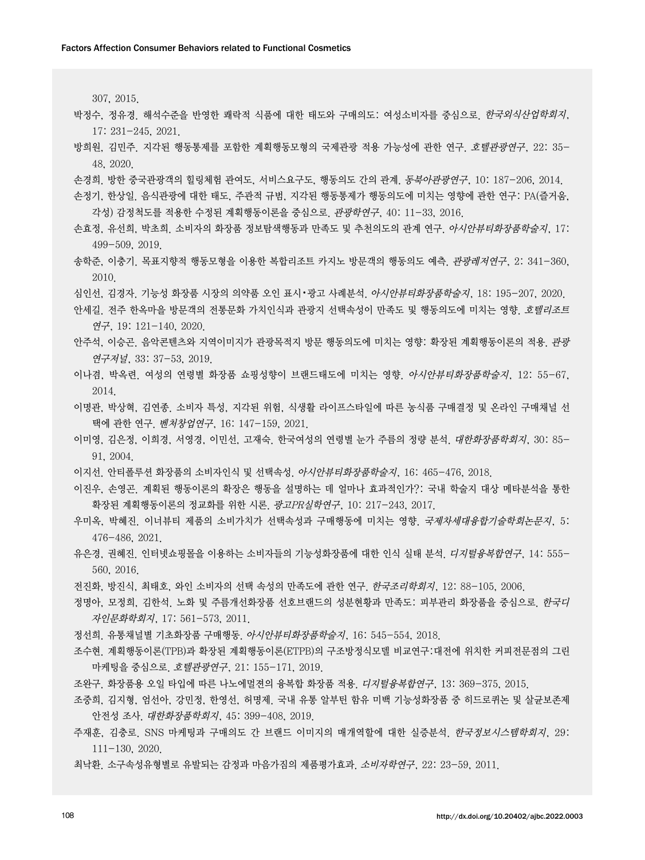307, 2015.

- 박정수, 정유경. 해석수준을 반영한 쾌락적 식품에 대한 태도와 구매의도: 여성소비자를 중심으로. 한국외식산업학회지, 17: 231-245, 2021.
- 방희원, 김민주. 지각된 행동통제를 포함한 계획행동모형의 국제관광 적용 가능성에 관한 연구. 호텔관광연구, 22: 35- 48, 2020.
- 손경희. 방한 중국관광객의 힐링체험 관여도, 서비스요구도, 행동의도 간의 관계. 동북아관광연구, 10: 187-206, 2014.
- 손정기, 한상일. 음식관광에 대한 태도, 주관적 규범, 지각된 행동통제가 행동의도에 미치는 영향에 관한 연구: PA(즐거움, 각성) 감정척도를 적용한 수정된 계획행동이론을 중심으로. 관광학연구, 40: 11-33, 2016.
- 손효정, 유선희, 박초희. 소비자의 화장품 정보탐색행동과 만족도 및 추천의도의 관계 연구. *아시안뷰티화장품학술지*, 17: 499-509, 2019.
- 송학준, 이충기. 목표지향적 행동모형을 이용한 복합리조트 카지노 방문객의 행동의도 예측. 관광레저연구, 2: 341-360, 2010.
- 심인선, 김경자. 기능성 화장품 시장의 의약품 오인 표시•광고 사례분석. 아시안뷰티화장품학술지, 18: 195-207, 2020.
- 안세길. 전주 한옥마을 방문객의 전통문화 가치인식과 관광지 선택속성이 만족도 및 행동의도에 미치는 영향. 호텔리조트 연구, 19: 121-140, 2020.
- 안주석, 이승곤. 음악콘텐츠와 지역이미지가 관광목적지 방문 행동의도에 미치는 영향: 확장된 계획행동이론의 적용. 관광 연구저널, 33: 37-53, 2019.
- 이나겸, 박옥련. 여성의 연령별 화장품 쇼핑성향이 브랜드태도에 미치는 영향. 아시안뷰티화장품학술지, 12: 55-67, 2014.
- 이명관, 박상혁, 김연종. 소비자 특성, 지각된 위험, 식생활 라이프스타일에 따른 농식품 구매결정 및 온라인 구매채널 선 택에 관한 연구. 벤처창업연구, 16: 147-159, 2021.
- 이미영, 김은정, 이희경, 서영경, 이민선, 고재숙. 한국여성의 연령별 눈가 주름의 정량 분석. 대한화장품학회지, 30: 85- 91, 2004.
- 이지선. 안티폴루션 화장품의 소비자인식 및 선택속성. 아시안뷰티화장품학술지, 16: 465-476, 2018.
- 이진우, 손영곤. 계획된 행동이론의 확장은 행동을 설명하는 데 얼마나 효과적인가?: 국내 학술지 대상 메타분석을 통한 확장된 계획행동이론의 정교화를 위한 시론. 광고PR실학연구, 10: 217-243, 2017.
- 우미옥, 박혜진. 이너뷰티 제품의 소비가치가 선택속성과 구매행동에 미치는 영향. *국제차세대융합기술학회논문지*, 5: 476-486, 2021.
- 유은경, 권혜진. 인터넷쇼핑몰을 이용하는 소비자들의 기능성화장품에 대한 인식 실태 분석. 디*지털융복합연구*, 14: 555-560, 2016.
- 전진화, 방진식, 최태호, 와인 소비자의 선택 속성의 만족도에 관한 연구. 한국조리학회지, 12: 88-105, 2006.
- 정명아, 모정희, 김한석. 노화 및 주름개선화장품 선호브랜드의 성분현황과 만족도: 피부관리 화장품을 중심으로, *한국디* 자인문화학회지, 17: 561-573, 2011.
- 정선희. 유통채널별 기초화장품 구매행동. 아시안뷰티화장품학술지, 16: 545-554, 2018.
- 조수현. 계획행동이론(TPB)과 확장된 계획행동이론(ETPB)의 구조방정식모델 비교연구:대전에 위치한 커피전문점의 그린 마케팅을 중심으로. 호텔관광연구, 21: 155-171, 2019.
- 조완구. 화장품용 오일 타입에 따른 나노에멀젼의 융복합 화장품 적용. 디지털융복합연구, 13: 369-375, 2015.
- 조중희, 김지형, 엄선아, 강민정, 한영선, 허명제. 국내 유통 알부틴 함유 미백 기능성화장품 중 히드로퀴논 및 살균보존제 안전성 조사. 대한화장품학회지, 45: 399-408, 2019.
- 주재훈, 김충로. SNS 마케팅과 구매의도 간 브랜드 이미지의 매개역할에 대한 실증분석. 한국정보시스템학회지, 29: 111-130, 2020.
- 최낙환. 소구속성유형별로 유발되는 감정과 마음가짐의 제품평가효과. 소비자학연구, 22: 23-59, 2011.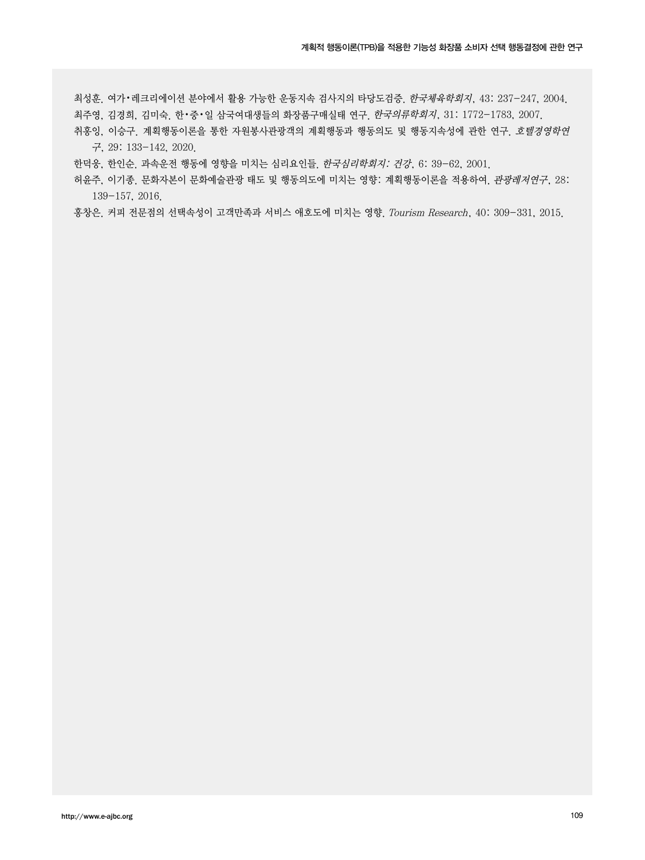최성훈. 여가•레크리에이션 분야에서 활용 가능한 운동지속 검사지의 타당도검증. 한국체육학회지, 43: 237-247, 2004. 최주영, 김경희, 김미숙. 한•중•일 삼국여대생들의 화장품구매실태 연구. 한국의류학회지, 31: 1772-1783, 2007.

취홍잉, 이승구. 계획행동이론을 통한 자원봉사관광객의 계획행동과 행동의도 및 행동지속성에 관한 연구. 호텔경영학연 구, 29: 133-142, 2020.

한덕웅, 한인순. 과속운전 행동에 영향을 미치는 심리요인들. 한국심리학회지: 건강, 6: 39-62, 2001.

허윤주, 이기종, 문화자본이 문화예술관광 태도 및 행동의도에 미치는 영향: 계획행동이론을 적용하여, *관광레저연구*, 28: 139-157, 2016.

홍창은. 커피 전문점의 선택속성이 고객만족과 서비스 애호도에 미치는 영향. Tourism Research, 40: 309-331, 2015.